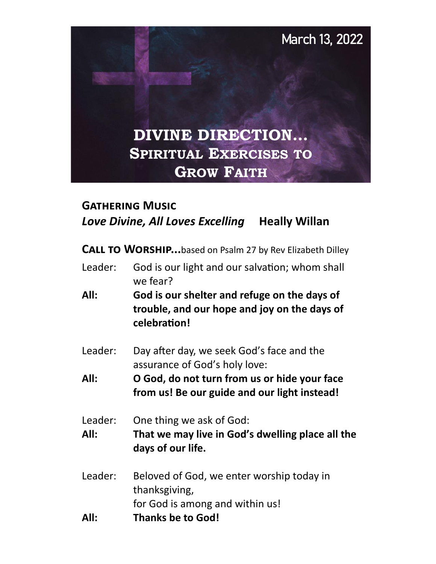

# **Gathering Music Love Divine, All Loves Excelling Heally Willan**

**CALL TO WORSHIP...**based on Psalm 27 by Rev Elizabeth Dilley

- Leader: God is our light and our salvation; whom shall we fear?
- **All: God is our shelter and refuge on the days of trouble, and our hope and joy on the days of celebration!**
- Leader: Day after day, we seek God's face and the assurance of God's holy love:
- **All: O God, do not turn from us or hide your face from us! Be our guide and our light instead!**
- Leader: One thing we ask of God:
- **All: That we may live in God's dwelling place all the days of our life.**
- Leader: Beloved of God, we enter worship today in thanksgiving, for God is among and within us!
- **All: Thanks be to God!**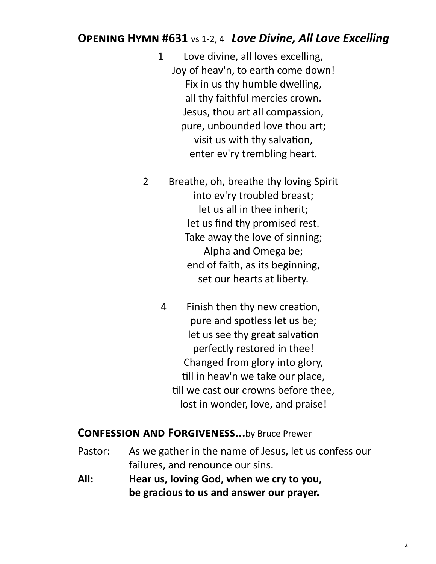# **Opening Hymn #631** vs 1-2, 4 *Love Divine, All Love Excelling*

- 1 Love divine, all loves excelling, Joy of heav'n, to earth come down! Fix in us thy humble dwelling, all thy faithful mercies crown. Jesus, thou art all compassion, pure, unbounded love thou art; visit us with thy salvation, enter ev'ry trembling heart.
- 2 Breathe, oh, breathe thy loving Spirit into ev'ry troubled breast; let us all in thee inherit; let us find thy promised rest. Take away the love of sinning; Alpha and Omega be; end of faith, as its beginning, set our hearts at liberty.
	- 4 Finish then thy new creation, pure and spotless let us be; let us see thy great salvation perfectly restored in thee! Changed from glory into glory, till in heav'n we take our place, till we cast our crowns before thee, lost in wonder, love, and praise!

#### **Confession and Forgiveness...**by Bruce Prewer

- Pastor: As we gather in the name of Jesus, let us confess our failures, and renounce our sins.
- **All: Hear us, loving God, when we cry to you, be gracious to us and answer our prayer.**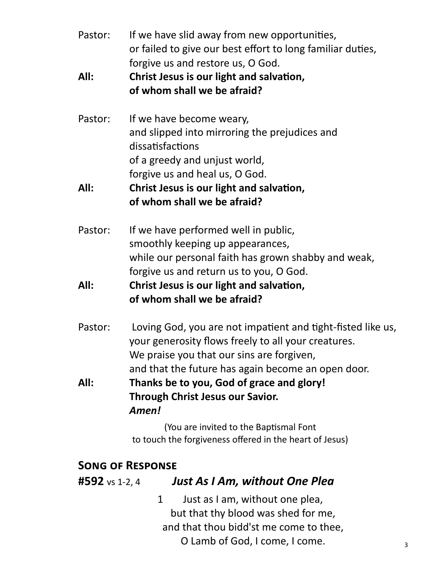| Pastor: | If we have slid away from new opportunities,               |
|---------|------------------------------------------------------------|
|         | or failed to give our best effort to long familiar duties, |
|         | forgive us and restore us, O God.                          |

- **All: Christ Jesus is our light and salvation, of whom shall we be afraid?**
- Pastor: If we have become weary, and slipped into mirroring the prejudices and dissatisfactions of a greedy and unjust world, forgive us and heal us, O God.

# **All: Christ Jesus is our light and salvation, of whom shall we be afraid?**

Pastor: If we have performed well in public, smoothly keeping up appearances, while our personal faith has grown shabby and weak, forgive us and return us to you, O God.

# **All: Christ Jesus is our light and salvation, of whom shall we be afraid?**

Pastor: Loving God, you are not impatient and tight-fisted like us, your generosity flows freely to all your creatures. We praise you that our sins are forgiven, and that the future has again become an open door.

**All: Thanks be to you, God of grace and glory! Through Christ Jesus our Savior.** *Amen!*

> (You are invited to the Baptismal Font to touch the forgiveness offered in the heart of Jesus)

# **Song of Response**

#### **#592** vs 1-2, 4*Just As I Am, without One Plea*

1 Just as I am, without one plea, but that thy blood was shed for me, and that thou bidd'st me come to thee, O Lamb of God, I come, I come.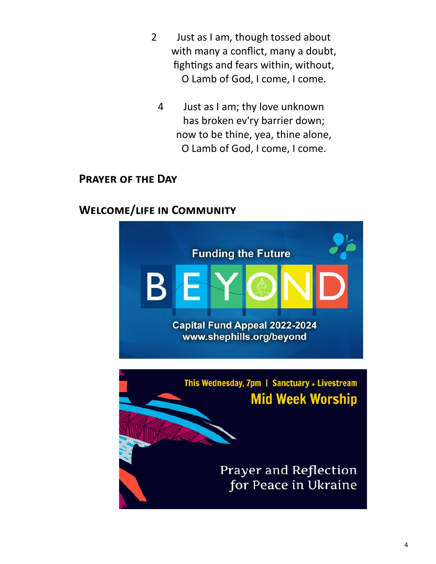- 2 Just as I am, though tossed about with many a conflict, many a doubt, fightings and fears within, without, O Lamb of God, I come, I come.
	- 4 Just as I am; thy love unknown has broken ev'ry barrier down; now to be thine, yea, thine alone, O Lamb of God, I come, I come.

#### **Prayer of the Day**

# **Welcome/life in Community**

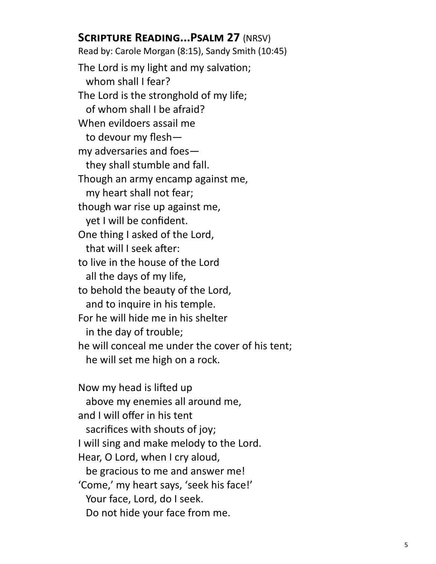# **Scripture Reading...Psalm 27** (NRSV)

Read by: Carole Morgan (8:15), Sandy Smith (10:45) The Lord is my light and my salvation; whom shall I fear? The Lord is the stronghold of my life; of whom shall I be afraid? When evildoers assail me to devour my flesh my adversaries and foes they shall stumble and fall. Though an army encamp against me, my heart shall not fear; though war rise up against me, yet I will be confident. One thing I asked of the Lord, that will I seek after: to live in the house of the Lord all the days of my life, to behold the beauty of the Lord, and to inquire in his temple. For he will hide me in his shelter in the day of trouble; he will conceal me under the cover of his tent; he will set me high on a rock.

Now my head is lifted up above my enemies all around me, and I will offer in his tent sacrifices with shouts of joy; I will sing and make melody to the Lord. Hear, O Lord, when I cry aloud, be gracious to me and answer me! 'Come,' my heart says, 'seek his face!' Your face, Lord, do I seek. Do not hide your face from me.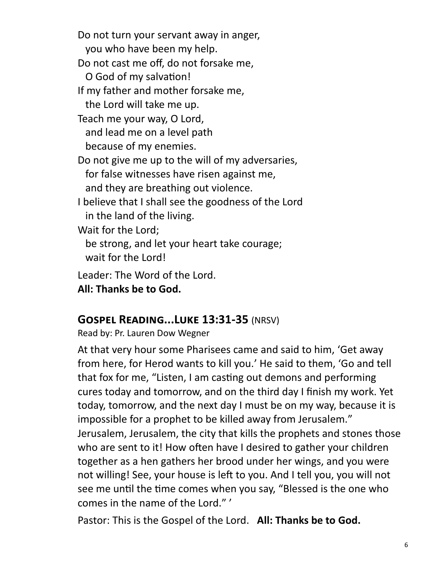Do not turn your servant away in anger, you who have been my help. Do not cast me off, do not forsake me, O God of my salvation! If my father and mother forsake me, the Lord will take me up. Teach me your way, O Lord, and lead me on a level path because of my enemies. Do not give me up to the will of my adversaries, for false witnesses have risen against me, and they are breathing out violence. I believe that I shall see the goodness of the Lord in the land of the living. Wait for the Lord; be strong, and let your heart take courage; wait for the Lord! Leader: The Word of the Lord. **All: Thanks be to God.**

#### **Gospel Reading...Luke 13:31-35** (NRSV)

Read by: Pr. Lauren Dow Wegner

At that very hour some Pharisees came and said to him, 'Get away from here, for Herod wants to kill you.' He said to them, 'Go and tell that fox for me, "Listen, I am casting out demons and performing cures today and tomorrow, and on the third day I finish my work. Yet today, tomorrow, and the next day I must be on my way, because it is impossible for a prophet to be killed away from Jerusalem." Jerusalem, Jerusalem, the city that kills the prophets and stones those who are sent to it! How often have I desired to gather your children together as a hen gathers her brood under her wings, and you were not willing! See, your house is left to you. And I tell you, you will not see me until the time comes when you say, "Blessed is the one who comes in the name of the Lord." '

Pastor: This is the Gospel of the Lord. **All: Thanks be to God.**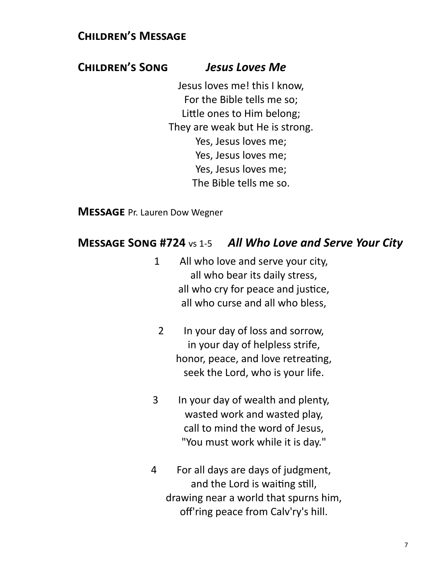# **Children's Message**

#### **Children's Song** *Jesus Loves Me*

Jesus loves me! this I know, For the Bible tells me so; Little ones to Him belong; They are weak but He is strong. Yes, Jesus loves me; Yes, Jesus loves me; Yes, Jesus loves me; The Bible tells me so.

**Message** Pr. Lauren Dow Wegner

#### **Message Song #724** vs 1-5 *All Who Love and Serve Your City*

- 1 All who love and serve your city, all who bear its daily stress, all who cry for peace and justice, all who curse and all who bless,
- 2 In your day of loss and sorrow, in your day of helpless strife, honor, peace, and love retreating, seek the Lord, who is your life.
- 3 In your day of wealth and plenty, wasted work and wasted play, call to mind the word of Jesus, "You must work while it is day."
- 4 For all days are days of judgment, and the Lord is waiting still, drawing near a world that spurns him, off'ring peace from Calv'ry's hill.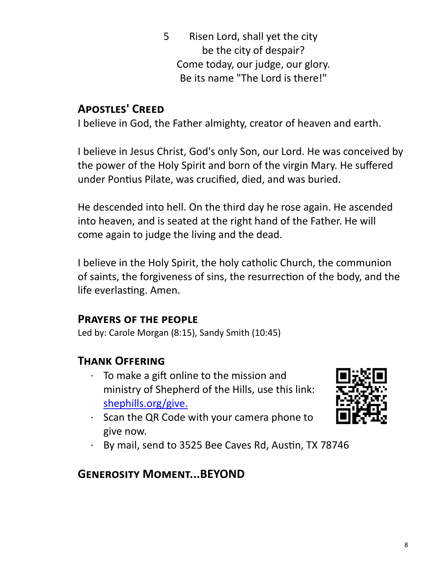5 Risen Lord, shall yet the city be the city of despair? Come today, our judge, our glory. Be its name "The Lord is there!"

# **Apostles' Creed**

I believe in God, the Father almighty, creator of heaven and earth.

I believe in Jesus Christ, God's only Son, our Lord. He was conceived by the power of the Holy Spirit and born of the virgin Mary. He suffered under Pontius Pilate, was crucified, died, and was buried.

He descended into hell. On the third day he rose again. He ascended into heaven, and is seated at the right hand of the Father. He will come again to judge the living and the dead.

I believe in the Holy Spirit, the holy catholic Church, the communion of saints, the forgiveness of sins, the resurrection of the body, and the life everlasting. Amen.

# **Prayers of the people**

Led by: Carole Morgan (8:15), Sandy Smith (10:45)

# **Thank Offering**

- · To make a gift online to the mission and ministry of Shepherd of the Hills, use this link: [shephills.org/give.](https://shephills.org/give/)
- · Scan the QR Code with your camera phone to give now.



· By mail, send to 3525 Bee Caves Rd, Austin, TX 78746

# **Generosity Moment...BEYOND**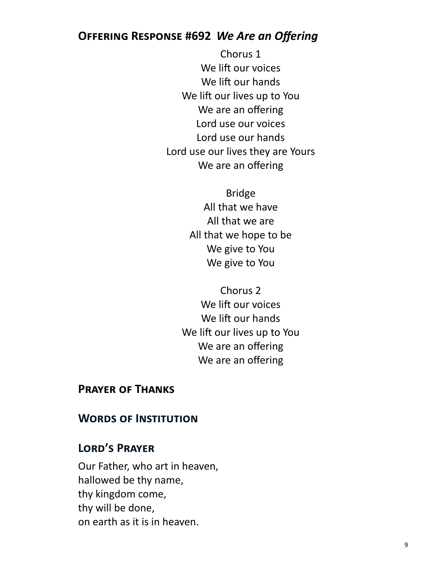# **Offering Response #692** *We Are an Offering*

Chorus 1 We lift our voices We lift our hands We lift our lives up to You We are an offering Lord use our voices Lord use our hands Lord use our lives they are Yours We are an offering

> Bridge All that we have All that we are All that we hope to be We give to You We give to You

Chorus 2 We lift our voices We lift our hands We lift our lives up to You We are an offering We are an offering

#### **Prayer of Thanks**

#### **Words of Institution**

#### **Lord's Prayer**

Our Father, who art in heaven, hallowed be thy name, thy kingdom come, thy will be done, on earth as it is in heaven.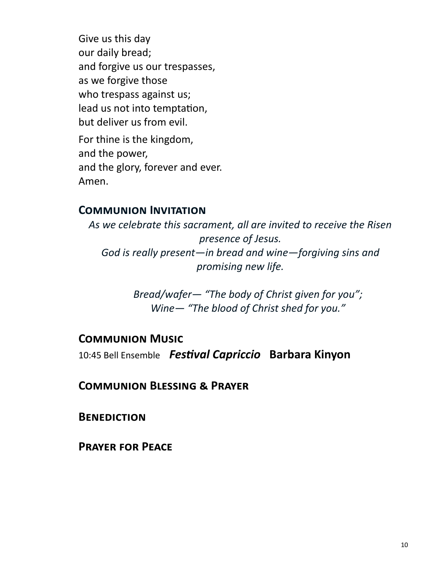Give us this day our daily bread; and forgive us our trespasses, as we forgive those who trespass against us; lead us not into temptation, but deliver us from evil. For thine is the kingdom, and the power, and the glory, forever and ever. Amen.

#### **Communion Invitation**

*As we celebrate this sacrament, all are invited to receive the Risen presence of Jesus. God is really present—in bread and wine—forgiving sins and promising new life.* 

> *Bread/wafer— "The body of Christ given for you"; Wine— "The blood of Christ shed for you."*

#### **Communion Music**

10:45 Bell Ensemble *Festival Capriccio* **Barbara Kinyon** 

**Communion Blessing & Prayer**

**Benediction**

**Prayer for Peace**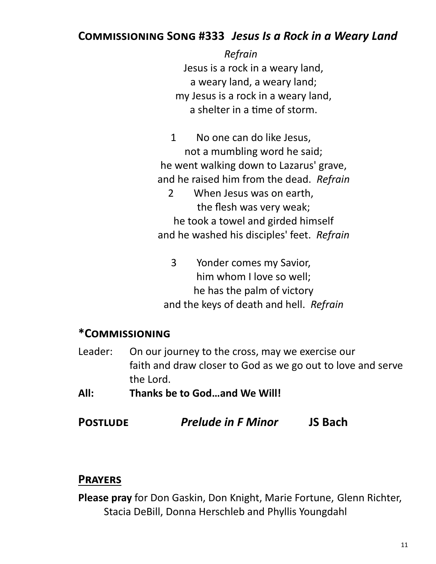# **Commissioning Song #333** *Jesus Is a Rock in a Weary Land*

*Refrain* Jesus is a rock in a weary land, a weary land, a weary land; my Jesus is a rock in a weary land, a shelter in a time of storm.

1 No one can do like Jesus, not a mumbling word he said; he went walking down to Lazarus' grave, and he raised him from the dead. *Refrain*

2 When Jesus was on earth, the flesh was very weak; he took a towel and girded himself and he washed his disciples' feet. *Refrain*

3 Yonder comes my Savior, him whom I love so well; he has the palm of victory and the keys of death and hell. *Refrain*

# **\*Commissioning**

- Leader: On our journey to the cross, may we exercise our faith and draw closer to God as we go out to love and serve the Lord.
- **All: Thanks be to God…and We Will!**
- **Postlude** *Prelude in F Minor* **JS Bach**

#### **Prayers**

**Please pray** for Don Gaskin, Don Knight, Marie Fortune, Glenn Richter, Stacia DeBill, Donna Herschleb and Phyllis Youngdahl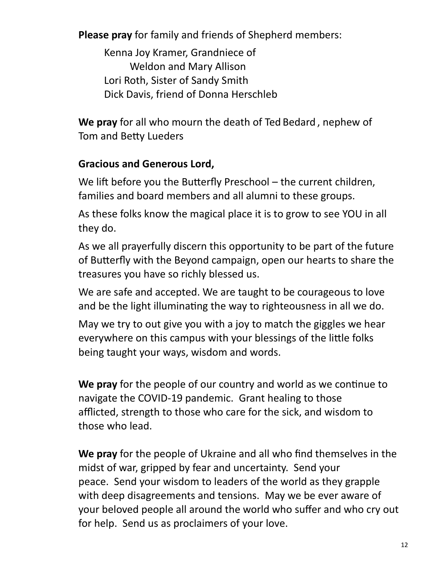**Please pray** for family and friends of Shepherd members:

Kenna Joy Kramer, Grandniece of Weldon and Mary Allison Lori Roth, Sister of Sandy Smith Dick Davis, friend of Donna Herschleb

**We pray** for all who mourn the death of Ted Bedard , nephew of Tom and Betty Lueders

# **Gracious and Generous Lord,**

We lift before you the Butterfly Preschool – the current children, families and board members and all alumni to these groups.

As these folks know the magical place it is to grow to see YOU in all they do.

As we all prayerfully discern this opportunity to be part of the future of Butterfly with the Beyond campaign, open our hearts to share the treasures you have so richly blessed us.

We are safe and accepted. We are taught to be courageous to love and be the light illuminating the way to righteousness in all we do.

May we try to out give you with a joy to match the giggles we hear everywhere on this campus with your blessings of the little folks being taught your ways, wisdom and words.

**We pray** for the people of our country and world as we continue to navigate the COVID-19 pandemic. Grant healing to those afflicted, strength to those who care for the sick, and wisdom to those who lead.

**We pray** for the people of Ukraine and all who find themselves in the midst of war, gripped by fear and uncertainty. Send your peace. Send your wisdom to leaders of the world as they grapple with deep disagreements and tensions. May we be ever aware of your beloved people all around the world who suffer and who cry out for help. Send us as proclaimers of your love.